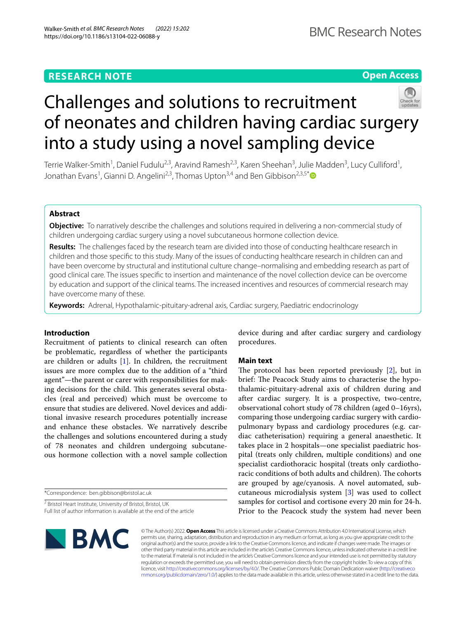# **Open Access**



# Challenges and solutions to recruitment of neonates and children having cardiac surgery into a study using a novel sampling device

Terrie Walker-Smith<sup>1</sup>, Daniel Fudulu<sup>2,3</sup>, Aravind Ramesh<sup>2,3</sup>, Karen Sheehan<sup>3</sup>, Julie Madden<sup>3</sup>, Lucy Culliford<sup>1</sup>, Jonathan Evans<sup>1</sup>, Gianni D. Angelini<sup>2,3</sup>, Thomas Upton<sup>3,4</sup> and Ben Gibbison<sup>2,3,5\*</sup> @

# **Abstract**

**Objective:** To narratively describe the challenges and solutions required in delivering a non-commercial study of children undergoing cardiac surgery using a novel subcutaneous hormone collection device.

**Results:** The challenges faced by the research team are divided into those of conducting healthcare research in children and those specifc to this study. Many of the issues of conducting healthcare research in children can and have been overcome by structural and institutional culture change–normalising and embedding research as part of good clinical care. The issues specifc to insertion and maintenance of the novel collection device can be overcome by education and support of the clinical teams. The increased incentives and resources of commercial research may have overcome many of these.

**Keywords:** Adrenal, Hypothalamic-pituitary-adrenal axis, Cardiac surgery, Paediatric endocrinology

# **Introduction**

Recruitment of patients to clinical research can often be problematic, regardless of whether the participants are children or adults  $[1]$  $[1]$  $[1]$ . In children, the recruitment issues are more complex due to the addition of a "third agent"—the parent or carer with responsibilities for making decisions for the child. This generates several obstacles (real and perceived) which must be overcome to ensure that studies are delivered. Novel devices and additional invasive research procedures potentially increase and enhance these obstacles. We narratively describe the challenges and solutions encountered during a study of 78 neonates and children undergoing subcutaneous hormone collection with a novel sample collection

\*Correspondence: ben.gibbison@bristol.ac.uk

<sup>2</sup> Bristol Heart Institute, University of Bristol, Bristol, UK Full list of author information is available at the end of the article device during and after cardiac surgery and cardiology procedures.

# **Main text**

The protocol has been reported previously  $[2]$  $[2]$ , but in brief: The Peacock Study aims to characterise the hypothalamic-pituitary-adrenal axis of children during and after cardiac surgery. It is a prospective, two-centre, observational cohort study of 78 children (aged 0–16yrs), comparing those undergoing cardiac surgery with cardiopulmonary bypass and cardiology procedures (e.g. cardiac catheterisation) requiring a general anaesthetic. It takes place in 2 hospitals—one specialist paediatric hospital (treats only children, multiple conditions) and one specialist cardiothoracic hospital (treats only cardiothoracic conditions of both adults and children). The cohorts are grouped by age/cyanosis. A novel automated, subcutaneous microdialysis system [\[3](#page-4-2)] was used to collect samples for cortisol and cortisone every 20 min for 24-h. Prior to the Peacock study the system had never been



© The Author(s) 2022. **Open Access** This article is licensed under a Creative Commons Attribution 4.0 International License, which permits use, sharing, adaptation, distribution and reproduction in any medium or format, as long as you give appropriate credit to the original author(s) and the source, provide a link to the Creative Commons licence, and indicate if changes were made. The images or other third party material in this article are included in the article's Creative Commons licence, unless indicated otherwise in a credit line to the material. If material is not included in the article's Creative Commons licence and your intended use is not permitted by statutory regulation or exceeds the permitted use, you will need to obtain permission directly from the copyright holder. To view a copy of this licence, visit [http://creativecommons.org/licenses/by/4.0/.](http://creativecommons.org/licenses/by/4.0/) The Creative Commons Public Domain Dedication waiver ([http://creativeco](http://creativecommons.org/publicdomain/zero/1.0/) [mmons.org/publicdomain/zero/1.0/](http://creativecommons.org/publicdomain/zero/1.0/)) applies to the data made available in this article, unless otherwise stated in a credit line to the data.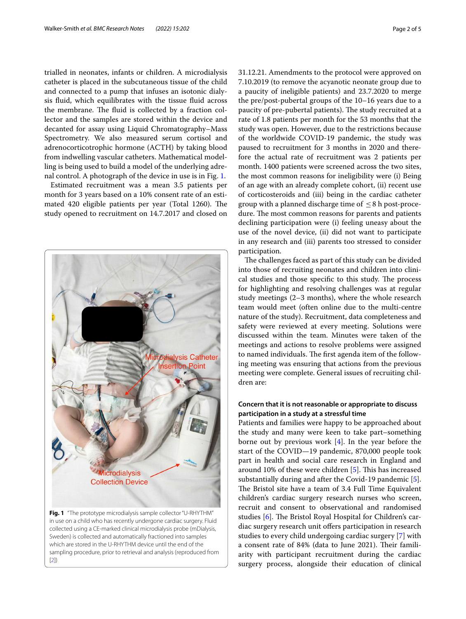trialled in neonates, infants or children. A microdialysis catheter is placed in the subcutaneous tissue of the child and connected to a pump that infuses an isotonic dialysis fuid, which equilibrates with the tissue fuid across the membrane. The fluid is collected by a fraction collector and the samples are stored within the device and decanted for assay using Liquid Chromatography–Mass Spectrometry. We also measured serum cortisol and adrenocorticotrophic hormone (ACTH) by taking blood from indwelling vascular catheters. Mathematical modelling is being used to build a model of the underlying adrenal control. A photograph of the device in use is in Fig. [1.](#page-1-0)

Estimated recruitment was a mean 3.5 patients per month for 3 years based on a 10% consent rate of an estimated 420 eligible patients per year (Total 1260). The study opened to recruitment on 14.7.2017 and closed on



31.12.21. Amendments to the protocol were approved on 7.10.2019 (to remove the acyanotic neonate group due to a paucity of ineligible patients) and 23.7.2020 to merge the pre/post-pubertal groups of the 10–16 years due to a paucity of pre-pubertal patients). The study recruited at a rate of 1.8 patients per month for the 53 months that the study was open. However, due to the restrictions because of the worldwide COVID-19 pandemic, the study was paused to recruitment for 3 months in 2020 and therefore the actual rate of recruitment was 2 patients per month. 1400 patients were screened across the two sites, the most common reasons for ineligibility were (i) Being of an age with an already complete cohort, (ii) recent use of corticosteroids and (iii) being in the cardiac catheter group with a planned discharge time of  $\leq$  8 h post-procedure. The most common reasons for parents and patients declining participation were (i) feeling uneasy about the use of the novel device, (ii) did not want to participate in any research and (iii) parents too stressed to consider participation.

The challenges faced as part of this study can be divided into those of recruiting neonates and children into clinical studies and those specific to this study. The process for highlighting and resolving challenges was at regular study meetings (2–3 months), where the whole research team would meet (often online due to the multi-centre nature of the study). Recruitment, data completeness and safety were reviewed at every meeting. Solutions were discussed within the team. Minutes were taken of the meetings and actions to resolve problems were assigned to named individuals. The first agenda item of the following meeting was ensuring that actions from the previous meeting were complete. General issues of recruiting children are:

# **Concern that it is not reasonable or appropriate to discuss participation in a study at a stressful time**

<span id="page-1-0"></span>Patients and families were happy to be approached about the study and many were keen to take part–something borne out by previous work [[4\]](#page-4-3). In the year before the start of the COVID—19 pandemic, 870,000 people took part in health and social care research in England and around 10% of these were children  $[5]$  $[5]$ . This has increased substantially during and after the Covid-19 pandemic [\[5](#page-4-4)]. The Bristol site have a team of 3.4 Full Time Equivalent children's cardiac surgery research nurses who screen, recruit and consent to observational and randomised studies [\[6](#page-4-5)]. The Bristol Royal Hospital for Children's cardiac surgery research unit offers participation in research studies to every child undergoing cardiac surgery [[7\]](#page-4-6) with a consent rate of 84% (data to June 2021). Their familiarity with participant recruitment during the cardiac surgery process, alongside their education of clinical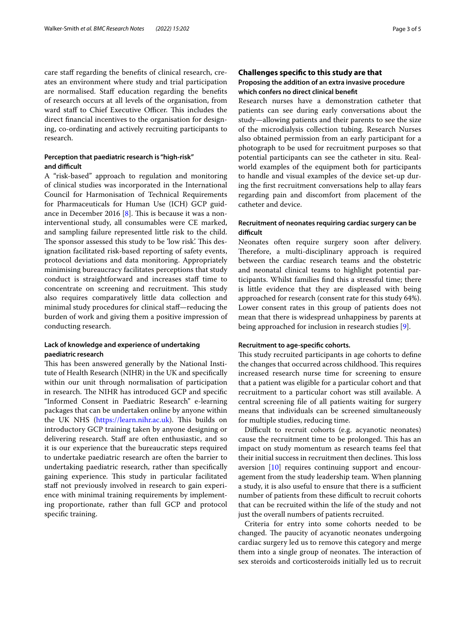care staff regarding the benefits of clinical research, creates an environment where study and trial participation are normalised. Staff education regarding the benefits of research occurs at all levels of the organisation, from ward staff to Chief Executive Officer. This includes the direct fnancial incentives to the organisation for designing, co-ordinating and actively recruiting participants to research.

# Perception that paediatric research is "high-risk" and difficult

A "risk-based" approach to regulation and monitoring of clinical studies was incorporated in the International Council for Harmonisation of Technical Requirements for Pharmaceuticals for Human Use (ICH) GCP guidance in December 2016  $[8]$  $[8]$ . This is because it was a noninterventional study, all consumables were CE marked, and sampling failure represented little risk to the child. The sponsor assessed this study to be 'low risk'. This designation facilitated risk-based reporting of safety events, protocol deviations and data monitoring. Appropriately minimising bureaucracy facilitates perceptions that study conduct is straightforward and increases staf time to concentrate on screening and recruitment. This study also requires comparatively little data collection and minimal study procedures for clinical staf—reducing the burden of work and giving them a positive impression of conducting research.

# **Lack of knowledge and experience of undertaking paediatric research**

This has been answered generally by the National Institute of Health Research (NIHR) in the UK and specifcally within our unit through normalisation of participation in research. The NIHR has introduced GCP and specific "Informed Consent in Paediatric Research" e-learning packages that can be undertaken online by anyone within the UK NHS ([https://learn.nihr.ac.uk\)](https://learn.nihr.ac.uk). This builds on introductory GCP training taken by anyone designing or delivering research. Staff are often enthusiastic, and so it is our experience that the bureaucratic steps required to undertake paediatric research are often the barrier to undertaking paediatric research, rather than specifcally gaining experience. This study in particular facilitated staff not previously involved in research to gain experience with minimal training requirements by implementing proportionate, rather than full GCP and protocol specifc training.

# **Challenges specifc to this study are that Proposing the addition of an extra invasive procedure which confers no direct clinical beneft**

Research nurses have a demonstration catheter that patients can see during early conversations about the study—allowing patients and their parents to see the size of the microdialysis collection tubing. Research Nurses also obtained permission from an early participant for a photograph to be used for recruitment purposes so that potential participants can see the catheter in situ. Realworld examples of the equipment both for participants to handle and visual examples of the device set-up during the frst recruitment conversations help to allay fears regarding pain and discomfort from placement of the catheter and device.

# **Recruitment of neonates requiring cardiac surgery can be**  difficult

Neonates often require surgery soon after delivery. Therefore, a multi-disciplinary approach is required between the cardiac research teams and the obstetric and neonatal clinical teams to highlight potential participants. Whilst families fnd this a stressful time; there is little evidence that they are displeased with being approached for research (consent rate for this study 64%). Lower consent rates in this group of patients does not mean that there is widespread unhappiness by parents at being approached for inclusion in research studies [[9\]](#page-4-8).

## **Recruitment to age‑specifc cohorts.**

This study recruited participants in age cohorts to define the changes that occurred across childhood. This requires increased research nurse time for screening to ensure that a patient was eligible for a particular cohort and that recruitment to a particular cohort was still available. A central screening fle of all patients waiting for surgery means that individuals can be screened simultaneously for multiple studies, reducing time.

Difficult to recruit cohorts (e.g. acyanotic neonates) cause the recruitment time to be prolonged. This has an impact on study momentum as research teams feel that their initial success in recruitment then declines. This loss aversion [\[10](#page-4-9)] requires continuing support and encouragement from the study leadership team. When planning a study, it is also useful to ensure that there is a sufficient number of patients from these difficult to recruit cohorts that can be recruited within the life of the study and not just the overall numbers of patients recruited.

Criteria for entry into some cohorts needed to be changed. The paucity of acyanotic neonates undergoing cardiac surgery led us to remove this category and merge them into a single group of neonates. The interaction of sex steroids and corticosteroids initially led us to recruit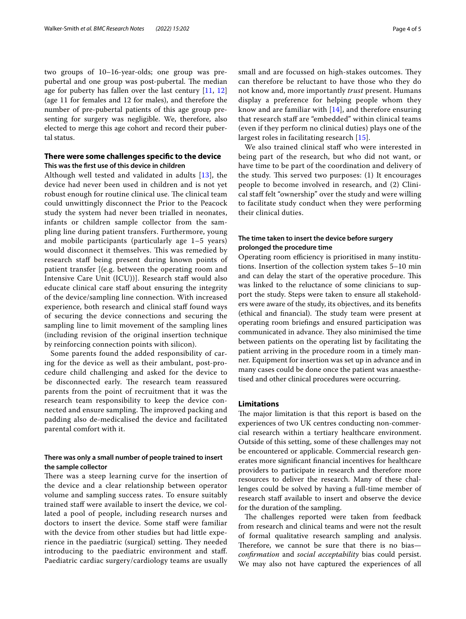two groups of 10–16-year-olds; one group was prepubertal and one group was post-pubertal. The median age for puberty has fallen over the last century  $[11, 12]$  $[11, 12]$  $[11, 12]$  $[11, 12]$  $[11, 12]$ (age 11 for females and 12 for males), and therefore the number of pre-pubertal patients of this age group presenting for surgery was negligible. We, therefore, also elected to merge this age cohort and record their pubertal status.

# **There were some challenges specifc to the device This was the frst use of this device in children**

Although well tested and validated in adults [[13\]](#page-4-12), the device had never been used in children and is not yet robust enough for routine clinical use. The clinical team could unwittingly disconnect the Prior to the Peacock study the system had never been trialled in neonates, infants or children sample collector from the sampling line during patient transfers. Furthermore, young and mobile participants (particularly age 1–5 years) would disconnect it themselves. This was remedied by research staf being present during known points of patient transfer [(e.g. between the operating room and Intensive Care Unit (ICU))]. Research staf would also educate clinical care staff about ensuring the integrity of the device/sampling line connection. With increased experience, both research and clinical staff found ways of securing the device connections and securing the sampling line to limit movement of the sampling lines (including revision of the original insertion technique by reinforcing connection points with silicon).

Some parents found the added responsibility of caring for the device as well as their ambulant, post-procedure child challenging and asked for the device to be disconnected early. The research team reassured parents from the point of recruitment that it was the research team responsibility to keep the device connected and ensure sampling. The improved packing and padding also de-medicalised the device and facilitated parental comfort with it.

# **There was only a small number of people trained to insert the sample collector**

There was a steep learning curve for the insertion of the device and a clear relationship between operator volume and sampling success rates. To ensure suitably trained staf were available to insert the device, we collated a pool of people, including research nurses and doctors to insert the device. Some staff were familiar with the device from other studies but had little experience in the paediatric (surgical) setting. They needed introducing to the paediatric environment and staf. Paediatric cardiac surgery/cardiology teams are usually small and are focussed on high-stakes outcomes. They can therefore be reluctant to have those who they do not know and, more importantly *trust* present. Humans display a preference for helping people whom they know and are familiar with [\[14](#page-4-13)], and therefore ensuring that research staff are "embedded" within clinical teams (even if they perform no clinical duties) plays one of the largest roles in facilitating research [[15\]](#page-4-14).

We also trained clinical staff who were interested in being part of the research, but who did not want, or have time to be part of the coordination and delivery of the study. This served two purposes:  $(1)$  It encourages people to become involved in research, and (2) Clinical staf felt "ownership" over the study and were willing to facilitate study conduct when they were performing their clinical duties.

# **The time taken to insert the device before surgery prolonged the procedure time**

Operating room efficiency is prioritised in many institutions. Insertion of the collection system takes 5–10 min and can delay the start of the operative procedure. This was linked to the reluctance of some clinicians to support the study. Steps were taken to ensure all stakeholders were aware of the study, its objectives, and its benefts (ethical and financial). The study team were present at operating room briefngs and ensured participation was communicated in advance. They also minimised the time between patients on the operating list by facilitating the patient arriving in the procedure room in a timely manner. Equipment for insertion was set up in advance and in many cases could be done once the patient was anaesthetised and other clinical procedures were occurring.

## **Limitations**

The major limitation is that this report is based on the experiences of two UK centres conducting non-commercial research within a tertiary healthcare environment. Outside of this setting, some of these challenges may not be encountered or applicable. Commercial research generates more signifcant fnancial incentives for healthcare providers to participate in research and therefore more resources to deliver the research. Many of these challenges could be solved by having a full-time member of research staff available to insert and observe the device for the duration of the sampling.

The challenges reported were taken from feedback from research and clinical teams and were not the result of formal qualitative research sampling and analysis. Therefore, we cannot be sure that there is no bias*confrmation* and *social acceptability* bias could persist. We may also not have captured the experiences of all